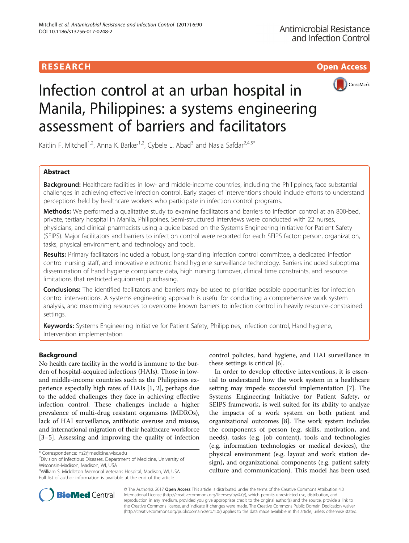

# Infection control at an urban hospital in Manila, Philippines: a systems engineering assessment of barriers and facilitators

Kaitlin F. Mitchell<sup>1,2</sup>, Anna K. Barker<sup>1,2</sup>, Cybele L. Abad<sup>3</sup> and Nasia Safdar<sup>2,4,5\*</sup>

# Abstract

Background: Healthcare facilities in low- and middle-income countries, including the Philippines, face substantial challenges in achieving effective infection control. Early stages of interventions should include efforts to understand perceptions held by healthcare workers who participate in infection control programs.

Methods: We performed a qualitative study to examine facilitators and barriers to infection control at an 800-bed, private, tertiary hospital in Manila, Philippines. Semi-structured interviews were conducted with 22 nurses, physicians, and clinical pharmacists using a guide based on the Systems Engineering Initiative for Patient Safety (SEIPS). Major facilitators and barriers to infection control were reported for each SEIPS factor: person, organization, tasks, physical environment, and technology and tools.

Results: Primary facilitators included a robust, long-standing infection control committee, a dedicated infection control nursing staff, and innovative electronic hand hygiene surveillance technology. Barriers included suboptimal dissemination of hand hygiene compliance data, high nursing turnover, clinical time constraints, and resource limitations that restricted equipment purchasing.

**Conclusions:** The identified facilitators and barriers may be used to prioritize possible opportunities for infection control interventions. A systems engineering approach is useful for conducting a comprehensive work system analysis, and maximizing resources to overcome known barriers to infection control in heavily resource-constrained settings.

Keywords: Systems Engineering Initiative for Patient Safety, Philippines, Infection control, Hand hygiene, Intervention implementation

# Background

No health care facility in the world is immune to the burden of hospital-acquired infections (HAIs). Those in lowand middle-income countries such as the Philippines experience especially high rates of HAIs [[1](#page-7-0), [2](#page-7-0)], perhaps due to the added challenges they face in achieving effective infection control. These challenges include a higher prevalence of multi-drug resistant organisms (MDROs), lack of HAI surveillance, antibiotic overuse and misuse, and international migration of their healthcare workforce [[3](#page-7-0)–[5\]](#page-7-0). Assessing and improving the quality of infection

4 William S. Middleton Memorial Veterans Hospital, Madison, WI, USA Full list of author information is available at the end of the article



In order to develop effective interventions, it is essential to understand how the work system in a healthcare setting may impede successful implementation [\[7\]](#page-7-0). The Systems Engineering Initiative for Patient Safety, or SEIPS framework, is well suited for its ability to analyze the impacts of a work system on both patient and organizational outcomes [[8](#page-7-0)]. The work system includes the components of person (e.g. skills, motivation, and needs), tasks (e.g. job content), tools and technologies (e.g. information technologies or medical devices), the physical environment (e.g. layout and work station design), and organizational components (e.g. patient safety culture and communication). This model has been used



© The Author(s). 2017 **Open Access** This article is distributed under the terms of the Creative Commons Attribution 4.0 International License [\(http://creativecommons.org/licenses/by/4.0/](http://creativecommons.org/licenses/by/4.0/)), which permits unrestricted use, distribution, and reproduction in any medium, provided you give appropriate credit to the original author(s) and the source, provide a link to the Creative Commons license, and indicate if changes were made. The Creative Commons Public Domain Dedication waiver [\(http://creativecommons.org/publicdomain/zero/1.0/](http://creativecommons.org/publicdomain/zero/1.0/)) applies to the data made available in this article, unless otherwise stated.

<sup>\*</sup> Correspondence: [ns2@medicine.wisc.edu](mailto:ns2@medicine.wisc.edu) <sup>2</sup>

Division of Infectious Diseases, Department of Medicine, University of Wisconsin-Madison, Madison, WI, USA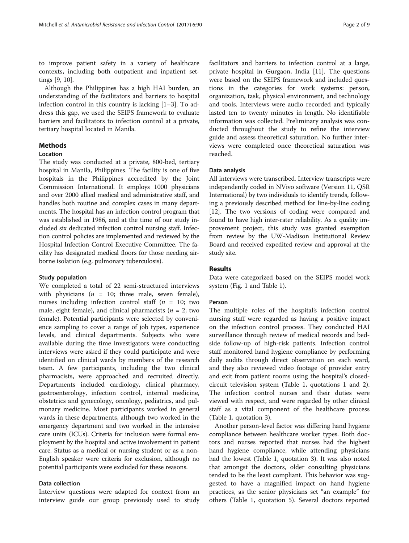to improve patient safety in a variety of healthcare contexts, including both outpatient and inpatient settings [\[9](#page-7-0), [10](#page-7-0)].

Although the Philippines has a high HAI burden, an understanding of the facilitators and barriers to hospital infection control in this country is lacking [\[1](#page-7-0)–[3\]](#page-7-0). To address this gap, we used the SEIPS framework to evaluate barriers and facilitators to infection control at a private, tertiary hospital located in Manila.

## **Methods**

## Location

The study was conducted at a private, 800-bed, tertiary hospital in Manila, Philippines. The facility is one of five hospitals in the Philippines accredited by the Joint Commission International. It employs 1000 physicians and over 2000 allied medical and administrative staff, and handles both routine and complex cases in many departments. The hospital has an infection control program that was established in 1986, and at the time of our study included six dedicated infection control nursing staff. Infection control policies are implemented and reviewed by the Hospital Infection Control Executive Committee. The facility has designated medical floors for those needing airborne isolation (e.g. pulmonary tuberculosis).

### Study population

We completed a total of 22 semi-structured interviews with physicians  $(n = 10;$  three male, seven female), nurses including infection control staff ( $n = 10$ ; two male, eight female), and clinical pharmacists ( $n = 2$ ; two female). Potential participants were selected by convenience sampling to cover a range of job types, experience levels, and clinical departments. Subjects who were available during the time investigators were conducting interviews were asked if they could participate and were identified on clinical wards by members of the research team. A few participants, including the two clinical pharmacists, were approached and recruited directly. Departments included cardiology, clinical pharmacy, gastroenterology, infection control, internal medicine, obstetrics and gynecology, oncology, pediatrics, and pulmonary medicine. Most participants worked in general wards in these departments, although two worked in the emergency department and two worked in the intensive care units (ICUs). Criteria for inclusion were formal employment by the hospital and active involvement in patient care. Status as a medical or nursing student or as a non-English speaker were criteria for exclusion, although no potential participants were excluded for these reasons.

## Data collection

Interview questions were adapted for context from an interview guide our group previously used to study

facilitators and barriers to infection control at a large, private hospital in Gurgaon, India [[11\]](#page-7-0). The questions were based on the SEIPS framework and included questions in the categories for work systems: person, organization, task, physical environment, and technology and tools. Interviews were audio recorded and typically lasted ten to twenty minutes in length. No identifiable information was collected. Preliminary analysis was conducted throughout the study to refine the interview guide and assess theoretical saturation. No further interviews were completed once theoretical saturation was reached.

#### Data analysis

All interviews were transcribed. Interview transcripts were independently coded in NVivo software (Version 11, QSR International) by two individuals to identify trends, following a previously described method for line-by-line coding [[12](#page-7-0)]. The two versions of coding were compared and found to have high inter-rater reliability. As a quality improvement project, this study was granted exemption from review by the UW-Madison Institutional Review Board and received expedited review and approval at the study site.

## Results

Data were categorized based on the SEIPS model work system (Fig. [1](#page-2-0) and Table [1\)](#page-3-0).

#### Person

The multiple roles of the hospital's infection control nursing staff were regarded as having a positive impact on the infection control process. They conducted HAI surveillance through review of medical records and bedside follow-up of high-risk patients. Infection control staff monitored hand hygiene compliance by performing daily audits through direct observation on each ward, and they also reviewed video footage of provider entry and exit from patient rooms using the hospital's closedcircuit television system (Table [1](#page-3-0), quotations 1 and 2). The infection control nurses and their duties were viewed with respect, and were regarded by other clinical staff as a vital component of the healthcare process (Table [1,](#page-3-0) quotation 3).

Another person-level factor was differing hand hygiene compliance between healthcare worker types. Both doctors and nurses reported that nurses had the highest hand hygiene compliance, while attending physicians had the lowest (Table [1,](#page-3-0) quotation 3). It was also noted that amongst the doctors, older consulting physicians tended to be the least compliant. This behavior was suggested to have a magnified impact on hand hygiene practices, as the senior physicians set "an example" for others (Table [1,](#page-3-0) quotation 5). Several doctors reported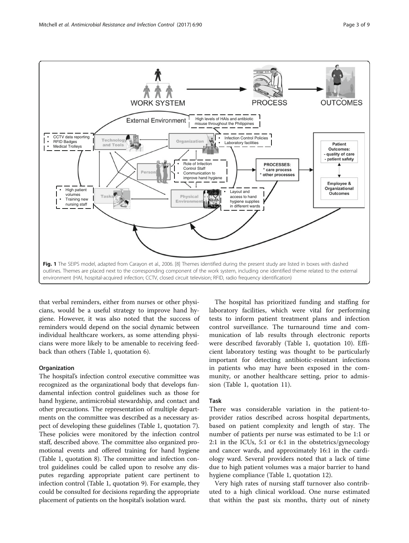<span id="page-2-0"></span>

that verbal reminders, either from nurses or other physicians, would be a useful strategy to improve hand hygiene. However, it was also noted that the success of reminders would depend on the social dynamic between individual healthcare workers, as some attending physicians were more likely to be amenable to receiving feedback than others (Table [1](#page-3-0), quotation 6).

## **Organization**

The hospital's infection control executive committee was recognized as the organizational body that develops fundamental infection control guidelines such as those for hand hygiene, antimicrobial stewardship, and contact and other precautions. The representation of multiple departments on the committee was described as a necessary aspect of developing these guidelines (Table [1,](#page-3-0) quotation 7). These policies were monitored by the infection control staff, described above. The committee also organized promotional events and offered training for hand hygiene (Table [1,](#page-3-0) quotation 8). The committee and infection control guidelines could be called upon to resolve any disputes regarding appropriate patient care pertinent to infection control (Table [1](#page-3-0), quotation 9). For example, they could be consulted for decisions regarding the appropriate placement of patients on the hospital's isolation ward.

The hospital has prioritized funding and staffing for laboratory facilities, which were vital for performing tests to inform patient treatment plans and infection control surveillance. The turnaround time and communication of lab results through electronic reports were described favorably (Table [1,](#page-3-0) quotation 10). Efficient laboratory testing was thought to be particularly important for detecting antibiotic-resistant infections in patients who may have been exposed in the community, or another healthcare setting, prior to admission (Table [1,](#page-3-0) quotation 11).

## Task

There was considerable variation in the patient-toprovider ratios described across hospital departments, based on patient complexity and length of stay. The number of patients per nurse was estimated to be 1:1 or 2:1 in the ICUs, 5:1 or 6:1 in the obstetrics/gynecology and cancer wards, and approximately 16:1 in the cardiology ward. Several providers noted that a lack of time due to high patient volumes was a major barrier to hand hygiene compliance (Table [1,](#page-3-0) quotation 12).

Very high rates of nursing staff turnover also contributed to a high clinical workload. One nurse estimated that within the past six months, thirty out of ninety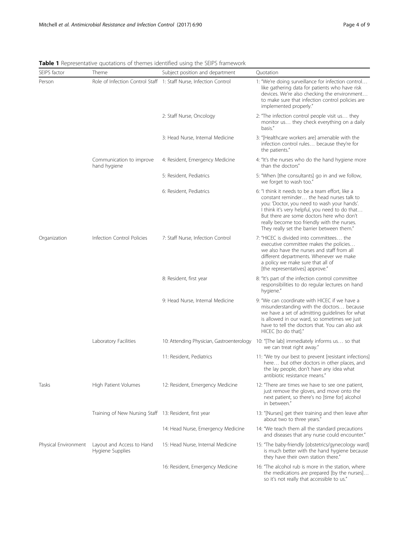| SEIPS factor         | Theme                                                  | Subject position and department                                   | Quotation                                                                                                                                                                                                                                                                                                                                |
|----------------------|--------------------------------------------------------|-------------------------------------------------------------------|------------------------------------------------------------------------------------------------------------------------------------------------------------------------------------------------------------------------------------------------------------------------------------------------------------------------------------------|
| Person               |                                                        | Role of Infection Control Staff 1: Staff Nurse, Infection Control | 1: "We're doing surveillance for infection control<br>like gathering data for patients who have risk<br>devices. We're also checking the environment<br>to make sure that infection control policies are<br>implemented properly."                                                                                                       |
|                      |                                                        | 2: Staff Nurse, Oncology                                          | 2: "The infection control people visit us they<br>monitor us they check everything on a daily<br>basis."                                                                                                                                                                                                                                 |
|                      |                                                        | 3: Head Nurse, Internal Medicine                                  | 3: "[Healthcare workers are] amenable with the<br>infection control rules because they're for<br>the patients."                                                                                                                                                                                                                          |
|                      | Communication to improve<br>hand hygiene               | 4: Resident, Emergency Medicine                                   | 4: "It's the nurses who do the hand hygiene more<br>than the doctors"                                                                                                                                                                                                                                                                    |
|                      |                                                        | 5: Resident, Pediatrics                                           | 5: "When [the consultants] go in and we follow,<br>we forget to wash too."                                                                                                                                                                                                                                                               |
|                      |                                                        | 6: Resident, Pediatrics                                           | 6: "I think it needs to be a team effort, like a<br>constant reminder the head nurses talk to<br>you: 'Doctor, you need to wash your hands'.<br>I think it's very helpful, you need to do that<br>But there are some doctors here who don't<br>really become too friendly with the nurses.<br>They really set the barrier between them." |
| Organization         | Infection Control Policies                             | 7: Staff Nurse, Infection Control                                 | 7: "HICEC is divided into committees the<br>executive committee makes the policies<br>we also have the nurses and staff from all<br>different departments. Whenever we make<br>a policy we make sure that all of<br>[the representatives] approve."                                                                                      |
|                      |                                                        | 8: Resident, first year                                           | 8: "It's part of the infection control committee<br>responsibilities to do regular lectures on hand<br>hygiene."                                                                                                                                                                                                                         |
|                      |                                                        | 9: Head Nurse, Internal Medicine                                  | 9: "We can coordinate with HICEC if we have a<br>misunderstanding with the doctors because<br>we have a set of admitting guidelines for what<br>is allowed in our ward, so sometimes we just<br>have to tell the doctors that. You can also ask<br>HICEC [to do that]."                                                                  |
|                      | Laboratory Facilities                                  | 10: Attending Physician, Gastroenterology                         | 10: "[The lab] immediately informs us so that<br>we can treat right away."                                                                                                                                                                                                                                                               |
|                      |                                                        | 11: Resident, Pediatrics                                          | 11: "We try our best to prevent [resistant infections]<br>here but other doctors in other places, and<br>the lay people, don't have any idea what<br>antibiotic resistance means.                                                                                                                                                        |
| Tasks                | High Patient Volumes                                   | 12: Resident, Emergency Medicine                                  | 12: "There are times we have to see one patient,<br>just remove the gloves, and move onto the<br>next patient, so there's no [time for] alcohol<br>in between."                                                                                                                                                                          |
|                      | Training of New Nursing Staff 13: Resident, first year |                                                                   | 13: "[Nurses] get their training and then leave after<br>about two to three years."                                                                                                                                                                                                                                                      |
|                      |                                                        | 14: Head Nurse, Emergency Medicine                                | 14: "We teach them all the standard precautions<br>and diseases that any nurse could encounter."                                                                                                                                                                                                                                         |
| Physical Environment | Layout and Access to Hand<br>Hygiene Supplies          | 15: Head Nurse, Internal Medicine                                 | 15: "The baby-friendly [obstetrics/gynecology ward]<br>is much better with the hand hygiene because<br>they have their own station there."                                                                                                                                                                                               |
|                      |                                                        | 16: Resident, Emergency Medicine                                  | 16: "The alcohol rub is more in the station, where<br>the medications are prepared [by the nurses]<br>so it's not really that accessible to us."                                                                                                                                                                                         |

# <span id="page-3-0"></span>Table 1 Representative quotations of themes identified using the SEIPS framework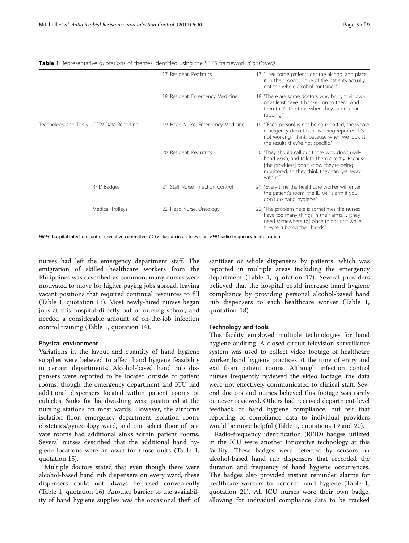|                                          |                  | 17: Resident, Pediatrics           | 17: "I see some patients get the alcohol and place<br>it in their room one of the patients actually<br>got the whole alcohol container."                                                                 |
|------------------------------------------|------------------|------------------------------------|----------------------------------------------------------------------------------------------------------------------------------------------------------------------------------------------------------|
|                                          |                  | 18: Resident, Emergency Medicine   | 18: "There are some doctors who bring their own,<br>or at least have it hooked on to them. And<br>then that's the time when they can do hand<br>rubbing."                                                |
| Technology and Tools CCTV Data Reporting |                  | 19: Head Nurse, Emergency Medicine | 19: "[Each person] is not being reported, the whole<br>emergency department is being reported. It's<br>not working I think, because when we look at<br>the results they're not specific."                |
|                                          |                  | 20: Resident, Pediatrics           | 20: "They should call out those who don't really<br>hand wash, and talk to them directly. Because<br>[the providers] don't know they're being<br>monitored, so they think they can get away<br>with it." |
|                                          | RFID Badges      | 21: Staff Nurse, Infection Control | 21: "Every time the healthcare worker will enter<br>the patient's room, the ID will alarm if you<br>don't do hand hygiene."                                                                              |
|                                          | Medical Trolleys | 22: Head Nurse, Oncology           | 22: "The problem here is sometimes the nurses<br>have too many things in their arms [they<br>need somewhere to] place things first while<br>they're rubbing their hands."                                |

**Table 1** Representative quotations of themes identified using the SEIPS framework (Continued)

HICEC hospital infection control executive committee, CCTV closed circuit television, RFID radio frequency identification

nurses had left the emergency department staff. The emigration of skilled healthcare workers from the Philippines was described as common; many nurses were motivated to move for higher-paying jobs abroad, leaving vacant positions that required continual resources to fill (Table [1,](#page-3-0) quotation 13). Most newly-hired nurses began jobs at this hospital directly out of nursing school, and needed a considerable amount of on-the-job infection control training (Table [1](#page-3-0), quotation 14).

## Physical environment

Variations in the layout and quantity of hand hygiene supplies were believed to affect hand hygiene feasibility in certain departments. Alcohol-based hand rub dispensers were reported to be located outside of patient rooms, though the emergency department and ICU had additional dispensers located within patient rooms or cubicles. Sinks for handwashing were positioned at the nursing stations on most wards. However, the airborne isolation floor, emergency department isolation room, obstetrics/gynecology ward, and one select floor of private rooms had additional sinks within patient rooms. Several nurses described that the additional hand hygiene locations were an asset for those units (Table [1](#page-3-0), quotation 15).

Multiple doctors stated that even though there were alcohol-based hand rub dispensers on every ward, these dispensers could not always be used conveniently (Table [1](#page-3-0), quotation 16). Another barrier to the availability of hand hygiene supplies was the occasional theft of sanitizer or whole dispensers by patients, which was reported in multiple areas including the emergency department (Table [1](#page-3-0), quotation 17). Several providers believed that the hospital could increase hand hygiene compliance by providing personal alcohol-based hand rub dispensers to each healthcare worker (Table [1](#page-3-0), quotation 18).

#### Technology and tools

This facility employed multiple technologies for hand hygiene auditing. A closed circuit television surveillance system was used to collect video footage of healthcare worker hand hygiene practices at the time of entry and exit from patient rooms. Although infection control nurses frequently reviewed the video footage, the data were not effectively communicated to clinical staff. Several doctors and nurses believed this footage was rarely or never reviewed. Others had received department-level feedback of hand hygiene compliance, but felt that reporting of compliance data to individual providers would be more helpful (Table [1,](#page-3-0) quotations 19 and 20).

Radio-frequency identification (RFID) badges utilized in the ICU were another innovative technology at this facility. These badges were detected by sensors on alcohol-based hand rub dispensers that recorded the duration and frequency of hand hygiene occurrences. The badges also provided instant reminder alarms for healthcare workers to perform hand hygiene (Table [1](#page-3-0), quotation 21). All ICU nurses wore their own badge, allowing for individual compliance data to be tracked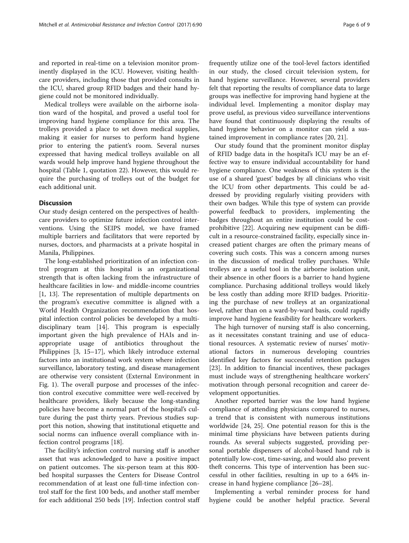and reported in real-time on a television monitor prominently displayed in the ICU. However, visiting healthcare providers, including those that provided consults in the ICU, shared group RFID badges and their hand hygiene could not be monitored individually.

Medical trolleys were available on the airborne isolation ward of the hospital, and proved a useful tool for improving hand hygiene compliance for this area. The trolleys provided a place to set down medical supplies, making it easier for nurses to perform hand hygiene prior to entering the patient's room. Several nurses expressed that having medical trolleys available on all wards would help improve hand hygiene throughout the hospital (Table [1](#page-3-0), quotation 22). However, this would require the purchasing of trolleys out of the budget for each additional unit.

## **Discussion**

Our study design centered on the perspectives of healthcare providers to optimize future infection control interventions. Using the SEIPS model, we have framed multiple barriers and facilitators that were reported by nurses, doctors, and pharmacists at a private hospital in Manila, Philippines.

The long-established prioritization of an infection control program at this hospital is an organizational strength that is often lacking from the infrastructure of healthcare facilities in low- and middle-income countries [[1, 13\]](#page-7-0). The representation of multiple departments on the program's executive committee is aligned with a World Health Organization recommendation that hospital infection control policies be developed by a multidisciplinary team [[14](#page-7-0)]. This program is especially important given the high prevalence of HAIs and inappropriate usage of antibiotics throughout the Philippines [[3, 15](#page-7-0)–[17\]](#page-7-0), which likely introduce external factors into an institutional work system where infection surveillance, laboratory testing, and disease management are otherwise very consistent (External Environment in Fig. [1](#page-2-0)). The overall purpose and processes of the infection control executive committee were well-received by healthcare providers, likely because the long-standing policies have become a normal part of the hospital's culture during the past thirty years. Previous studies support this notion, showing that institutional etiquette and social norms can influence overall compliance with infection control programs [[18\]](#page-7-0).

The facility's infection control nursing staff is another asset that was acknowledged to have a positive impact on patient outcomes. The six-person team at this 800 bed hospital surpasses the Centers for Disease Control recommendation of at least one full-time infection control staff for the first 100 beds, and another staff member for each additional 250 beds [[19](#page-7-0)]. Infection control staff frequently utilize one of the tool-level factors identified in our study, the closed circuit television system, for hand hygiene surveillance. However, several providers felt that reporting the results of compliance data to large groups was ineffective for improving hand hygiene at the individual level. Implementing a monitor display may prove useful, as previous video surveillance interventions have found that continuously displaying the results of hand hygiene behavior on a monitor can yield a sustained improvement in compliance rates [[20](#page-7-0), [21](#page-7-0)].

Our study found that the prominent monitor display of RFID badge data in the hospital's ICU may be an effective way to ensure individual accountability for hand hygiene compliance. One weakness of this system is the use of a shared 'guest' badges by all clinicians who visit the ICU from other departments. This could be addressed by providing regularly visiting providers with their own badges. While this type of system can provide powerful feedback to providers, implementing the badges throughout an entire institution could be costprohibitive [[22\]](#page-7-0). Acquiring new equipment can be difficult in a resource-constrained facility, especially since increased patient charges are often the primary means of covering such costs. This was a concern among nurses in the discussion of medical trolley purchases. While trolleys are a useful tool in the airborne isolation unit, their absence in other floors is a barrier to hand hygiene compliance. Purchasing additional trolleys would likely be less costly than adding more RFID badges. Prioritizing the purchase of new trolleys at an organizational level, rather than on a ward-by-ward basis, could rapidly improve hand hygiene feasibility for healthcare workers.

The high turnover of nursing staff is also concerning, as it necessitates constant training and use of educational resources. A systematic review of nurses' motivational factors in numerous developing countries identified key factors for successful retention packages [[23\]](#page-7-0). In addition to financial incentives, these packages must include ways of strengthening healthcare workers' motivation through personal recognition and career development opportunities.

Another reported barrier was the low hand hygiene compliance of attending physicians compared to nurses, a trend that is consistent with numerous institutions worldwide [\[24, 25\]](#page-7-0). One potential reason for this is the minimal time physicians have between patients during rounds. As several subjects suggested, providing personal portable dispensers of alcohol-based hand rub is potentially low-cost, time-saving, and would also prevent theft concerns. This type of intervention has been successful in other facilities, resulting in up to a 64% increase in hand hygiene compliance [[26](#page-7-0)–[28\]](#page-7-0).

Implementing a verbal reminder process for hand hygiene could be another helpful practice. Several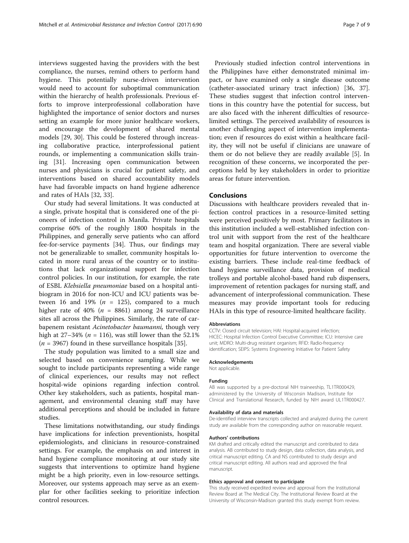interviews suggested having the providers with the best compliance, the nurses, remind others to perform hand hygiene. This potentially nurse-driven intervention would need to account for suboptimal communication within the hierarchy of health professionals. Previous efforts to improve interprofessional collaboration have highlighted the importance of senior doctors and nurses setting an example for more junior healthcare workers, and encourage the development of shared mental models [\[29](#page-7-0), [30\]](#page-7-0). This could be fostered through increasing collaborative practice, interprofessional patient rounds, or implementing a communication skills training [\[31\]](#page-7-0). Increasing open communication between nurses and physicians is crucial for patient safety, and interventions based on shared accountability models have had favorable impacts on hand hygiene adherence and rates of HAIs [[32, 33\]](#page-7-0).

Our study had several limitations. It was conducted at a single, private hospital that is considered one of the pioneers of infection control in Manila. Private hospitals comprise 60% of the roughly 1800 hospitals in the Philippines, and generally serve patients who can afford fee-for-service payments [[34\]](#page-7-0). Thus, our findings may not be generalizable to smaller, community hospitals located in more rural areas of the country or to institutions that lack organizational support for infection control policies. In our institution, for example, the rate of ESBL Klebsiella pneumoniae based on a hospital antibiogram in 2016 for non-ICU and ICU patients was between 16 and 19% ( $n = 125$ ), compared to a much higher rate of 40% ( $n = 8861$ ) among 24 surveillance sites all across the Philippines. Similarly, the rate of carbapenem resistant Acinetobacter baumanni, though very high at  $27-34\%$  ( $n = 116$ ), was still lower than the 52.1%  $(n = 3967)$  found in these surveillance hospitals [[35](#page-7-0)].

The study population was limited to a small size and selected based on convenience sampling. While we sought to include participants representing a wide range of clinical experiences, our results may not reflect hospital-wide opinions regarding infection control. Other key stakeholders, such as patients, hospital management, and environmental cleaning staff may have additional perceptions and should be included in future studies.

These limitations notwithstanding, our study findings have implications for infection preventionists, hospital epidemiologists, and clinicians in resource-constrained settings. For example, the emphasis on and interest in hand hygiene compliance monitoring at our study site suggests that interventions to optimize hand hygiene might be a high priority, even in low-resource settings. Moreover, our systems approach may serve as an exemplar for other facilities seeking to prioritize infection control resources.

Previously studied infection control interventions in the Philippines have either demonstrated minimal impact, or have examined only a single disease outcome (catheter-associated urinary tract infection) [\[36](#page-7-0), [37](#page-8-0)]. These studies suggest that infection control interventions in this country have the potential for success, but are also faced with the inherent difficulties of resourcelimited settings. The perceived availability of resources is another challenging aspect of intervention implementation; even if resources do exist within a healthcare facility, they will not be useful if clinicians are unaware of them or do not believe they are readily available [[5\]](#page-7-0). In recognition of these concerns, we incorporated the perceptions held by key stakeholders in order to prioritize areas for future intervention.

### **Conclusions**

Discussions with healthcare providers revealed that infection control practices in a resource-limited setting were perceived positively by most. Primary facilitators in this institution included a well-established infection control unit with support from the rest of the healthcare team and hospital organization. There are several viable opportunities for future intervention to overcome the existing barriers. These include real-time feedback of hand hygiene surveillance data, provision of medical trolleys and portable alcohol-based hand rub dispensers, improvement of retention packages for nursing staff, and advancement of interprofessional communication. These measures may provide important tools for reducing HAIs in this type of resource-limited healthcare facility.

#### Abbreviations

CCTV: Closed circuit television; HAI: Hospital-acquired infection; HICEC: Hospital Infection Control Executive Committee; ICU: Intensive care unit; MDRO: Multi-drug resistant organism; RFID: Radio-frequency identification; SEIPS: Systems Engineering Initiative for Patient Safety

#### Acknowledgements

Not applicable.

#### Funding

AB was supported by a pre-doctoral NIH traineeship, TL1TR000429, administered by the University of Wisconsin Madison, Institute for Clinical and Translational Research, funded by NIH award UL1TR000427.

#### Availability of data and materials

De-identified interview transcripts collected and analyzed during the current study are available from the corresponding author on reasonable request.

#### Authors' contributions

KM drafted and critically edited the manuscript and contributed to data analysis. AB contributed to study design, data collection, data analysis, and critical manuscript editing. CA and NS contributed to study design and critical manuscript editing. All authors read and approved the final manuscript.

#### Ethics approval and consent to participate

This study received expedited review and approval from the Institutional Review Board at The Medical City. The Institutional Review Board at the University of Wisconsin-Madison granted this study exempt from review.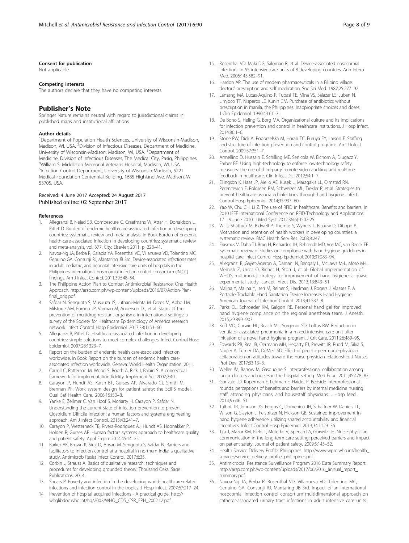#### <span id="page-7-0"></span>Consent for publication

Not applicable.

#### Competing interests

The authors declare that they have no competing interests.

## Publisher's Note

Springer Nature remains neutral with regard to jurisdictional claims in published maps and institutional affiliations.

#### Author details

<sup>1</sup>Department of Population Health Sciences, University of Wisconsin-Madison, Madison, WI, USA. <sup>2</sup>Division of Infectious Diseases, Department of Medicine, University of Wisconsin-Madison, Madison, WI, USA. <sup>3</sup>Department of Medicine, Division of Infectious Diseases, The Medical City, Pasig, Philippines. 4 William S. Middleton Memorial Veterans Hospital, Madison, WI, USA. 5 Infection Control Department, University of Wisconsin-Madison, 5221 Medical Foundation Centennial Building, 1685 Highland Ave, Madison, WI 53705, USA.

### Received: 4 June 2017 Accepted: 24 August 2017 Published online: 02 September 2017

#### References

- 1. Allegranzi B, Nejad SB, Combescure C, Graafmans W, Attar H, Donaldson L, Pittet D. Burden of endemic health-care-associated infection in developing countries: systematic review and meta-analysis. In Book Burden of endemic health-care-associated infection in developing countries: systematic review and meta-analysis, vol. 377. City: Elsevier; 2011. p. 228–41.
- 2. Navoa-Ng JA, Berba R, Galapia YA, Rosenthal VD, Villanueva VD, Tolentino MC, Genuino GA, Consunji RJ, Mantaring JB 3rd. Device-associated infections rates in adult, pediatric, and neonatal intensive care units of hospitals in the Philippines: international nosocomial infection control consortium (INICC) findings. Am J Infect Control. 2011;39:548–54.
- 3. The Philippine Action Plan to Combat Antimicrobial Resistance: One Health Approach. [http://arsp.com.ph/wp-content/uploads/2016/07/Action-Plan](http://arsp.com.ph/wp-content/uploads/2016/07/Action-Plan-final_orig.pdf)[final\\_orig.pdf](http://arsp.com.ph/wp-content/uploads/2016/07/Action-Plan-final_orig.pdf).
- Safdar N, Sengupta S, Musuuza JS, Juthani-Mehta M, Drees M, Abbo LM, Milstone AM, Furuno JP, Varman M, Anderson DJ, et al. Status of the prevention of multidrug-resistant organisms in international settings: a survey of the Society for Healthcare Epidemiology of America research network. Infect Control Hosp Epidemiol. 2017;38(1):53–60.
- 5. Allegranzi B, Pittet D. Healthcare-associated infection in developing countries: simple solutions to meet complex challenges. Infect Control Hosp Epidemiol. 2007;28:1323–7.
- 6. Report on the burden of endemic health care-associated infection worldwide. In Book Report on the burden of endemic health careassociated infection worldwide. Geneva: World Health Organization; 2011.
- 7. Carroll C, Patterson M, Wood S, Booth A, Rick J, Balain S. A conceptual framework for implementation fidelity. Implement Sci. 2007;2:40.
- 8. Carayon P, Hundt AS, Karsh BT, Gurses AP, Alvarado CJ, Smith M, Brennan PF. Work system design for patient safety: the SEIPS model. Qual Saf Health Care. 2006;15:i50–8.
- Yanke E, Zellmer C, Van Hoof S, Moriarty H, Carayon P, Safdar N. Understanding the current state of infection prevention to prevent Clostridium Difficile infection: a human factors and systems engineering approach. Am J Infect Control. 2015;43:241–7.
- 10. Carayon P, Wetterneck TB, Rivera-Rodriguez AJ, Hundt AS, Hoonakker P, Holden R, Gurses AP. Human factors systems approach to healthcare quality and patient safety. Appl Ergon. 2014;45:14–25.
- 11. Barker AK, Brown K, Siraj D, Ahsan M, Sengupta S, Safdar N. Barriers and facilitators to infection control at a hospital in northern India: a qualitative study. Antimicrob Resist Infect Control. 2017;6:35.
- 12. Corbin J, Strauss A. Basics of qualitative research: techniques and procedures for developing grounded theory. Thousand Oaks: Sage Publications; 2014.
- 13. Shears P. Poverty and infection in the developing world: healthcare-related infections and infection control in the tropics. J Hosp Infect. 2007;67:217–24.
- 14. Prevention of hospital acquired infections A practical guide. [http://](http://whqlibdoc.who.int/hq/2002/WHO_CDS_CSR_EPH_2002.12.pdf) [whqlibdoc.who.int/hq/2002/WHO\\_CDS\\_CSR\\_EPH\\_2002.12.pdf.](http://whqlibdoc.who.int/hq/2002/WHO_CDS_CSR_EPH_2002.12.pdf)
- 15. Rosenthal VD, Maki DG, Salomao R, et al. Device-associated nosocomial infections in 55 intensive care units of 8 developing countries. Ann Intern Med. 2006;145:582–91.
- 16. Hardon AP. The use of modern pharmaceuticals in a Filipino village: doctors' prescription and self medication. Soc Sci Med. 1987;25:277–92.
- 17. Lansang MA, Lucas-Aquino R, Tupasi TE, Mina VS, Salazar LS, Juban N, Limjoco TT, Nisperos LE, Kunin CM. Purchase of antibiotics without prescription in manila, the Philippines. Inappropriate choices and doses. J Clin Epidemiol. 1990;43:61–7.
- 18. De Bono S, Heling G, Borg MA. Organizational culture and its implications for infection prevention and control in healthcare institutions. J Hosp Infect. 2014;86:1–6.
- 19. Stone PW, Dick A, Pogorzelska M, Horan TC, Furuya EY, Larson E. Staffing and structure of infection prevention and control programs. Am J Infect Control. 2009;37:351–7.
- 20. Armellino D, Hussain E, Schilling ME, Senicola W, Eichorn A, Dlugacz Y, Farber BF. Using high-technology to enforce low-technology safety measures: the use of third-party remote video auditing and real-time feedback in healthcare. Clin Infect Dis. 2012;54:1–7.
- 21. Ellingson K, Haas JP, Aiello AE, Kusek L, Maragakis LL, Olmsted RN, Perencevich E, Polgreen PM, Schweizer ML, Trexler P, et al. Strategies to prevent healthcare-associated infections through hand hygiene. Infect Control Hosp Epidemiol. 2014;35:937–60.
- 22. Yao W, Chu CH, Li Z. The use of RFID in healthcare: Benefits and barriers. In 2010 IEEE International Conference on RFID-Technology and Applications; 17–19 June 2010. J Med Syst. 2012;36(6):3507-25.
- 23. Willis-Shattuck M, Bidwell P, Thomas S, Wyness L, Blaauw D, Ditlopo P. Motivation and retention of health workers in developing countries: a systematic review. BMC Health Serv Res. 2008;8:247.
- 24. Erasmus V, Daha TJ, Brug H, Richardus JH, Behrendt MD, Vos MC, van Beeck EF. Systematic review of studies on compliance with hand hygiene guidelines in hospital care. Infect Control Hosp Epidemiol. 2010;31:283–94.
- 25. Allegranzi B, Gayet-Ageron A, Damani N, Bengaly L, McLaws M-L, Moro M-L, Memish Z, Urroz O, Richet H, Storr J, et al. Global implementation of WHO's multimodal strategy for improvement of hand hygiene: a quasiexperimental study. Lancet Infect Dis. 2013;13:843–51.
- 26. Malina Y, Malina Y, Iseri M, Reiner S, Hardman J, Rogers J, Vlasses F. A Portable Trackable Hand Sanitation Device Increases Hand Hygiene. American Journal of Infection Control. 2013;41:S37–8.
- 27. Parks CL, Schroeder KM, Galgon RE. Personal hand gel for improved hand hygiene compliance on the regional anesthesia team. J Anesth. 2015;29:899–903.
- 28. Koff MD, Corwin HL, Beach ML, Surgenor SD, Loftus RW. Reduction in ventilator associated pneumonia in a mixed intensive care unit after initiation of a novel hand hygiene program. J Crit Care. 2011;26:489–95.
- 29. Edwards PB, Rea JB, Oermann MH, Hegarty EJ, Prewitt JR, Rudd M, Silva S, Nagler A, Turner DA, DeMeo SD. Effect of peer-to-peer nurse-physician collaboration on attitudes toward the nurse-physician relationship. J Nurses Prof Dev. 2017;33:13–8.
- 30. Weller JM, Barrow M, Gasquoine S. Interprofessional collaboration among junior doctors and nurses in the hospital setting. Med Educ. 2011;45:478–87.
- 31. Gonzalo JD, Kuperman E, Lehman E, Haidet P. Bedside interprofessional rounds: perceptions of benefits and barriers by internal medicine nursing staff, attending physicians, and housestaff physicians. J Hosp Med. 2014;9:646–51.
- 32. Talbot TR, Johnson JG, Fergus C, Domenico JH, Schaffner W, Daniels TL, Wilson G, Slayton J, Feistritzer N, Hickson GB. Sustained improvement in hand hygiene adherence: utilizing shared accountability and financial incentives. Infect Control Hosp Epidemiol. 2013;34:1129–36.
- 33. Tjia J, Mazor KM, Field T, Meterko V, Spenard A, Gurwitz JH. Nurse-physician communication in the long-term care setting: perceived barriers and impact on patient safety. Journal of patient safety. 2009;5:145–52.
- 34. Health Service Delivery Profile: Philippines. [http://www.wpro.who.int/health\\_](http://www.wpro.who.int/health_services/service_delivery_profile_philippines.pdf) [services/service\\_delivery\\_profile\\_philippines.pdf.](http://www.wpro.who.int/health_services/service_delivery_profile_philippines.pdf)
- 35. Antimicrobial Resistance Surveillance Program 2016 Data Summary Report. [http://arsp.com.ph/wp-content/uploads/2017/06/2016\\_annual\\_report\\_](http://arsp.com.ph/wp-content/uploads/2017/06/2016_annual_report_summary.pdf) [summary.pdf.](http://arsp.com.ph/wp-content/uploads/2017/06/2016_annual_report_summary.pdf)
- 36. Navoa-Ng JA, Berba R, Rosenthal VD, Villanueva VD, Tolentino MC, Genuino GA, Consunji RJ, Mantaring JB 3rd. Impact of an international nosocomial infection control consortium multidimensional approach on catheter-associated urinary tract infections in adult intensive care units